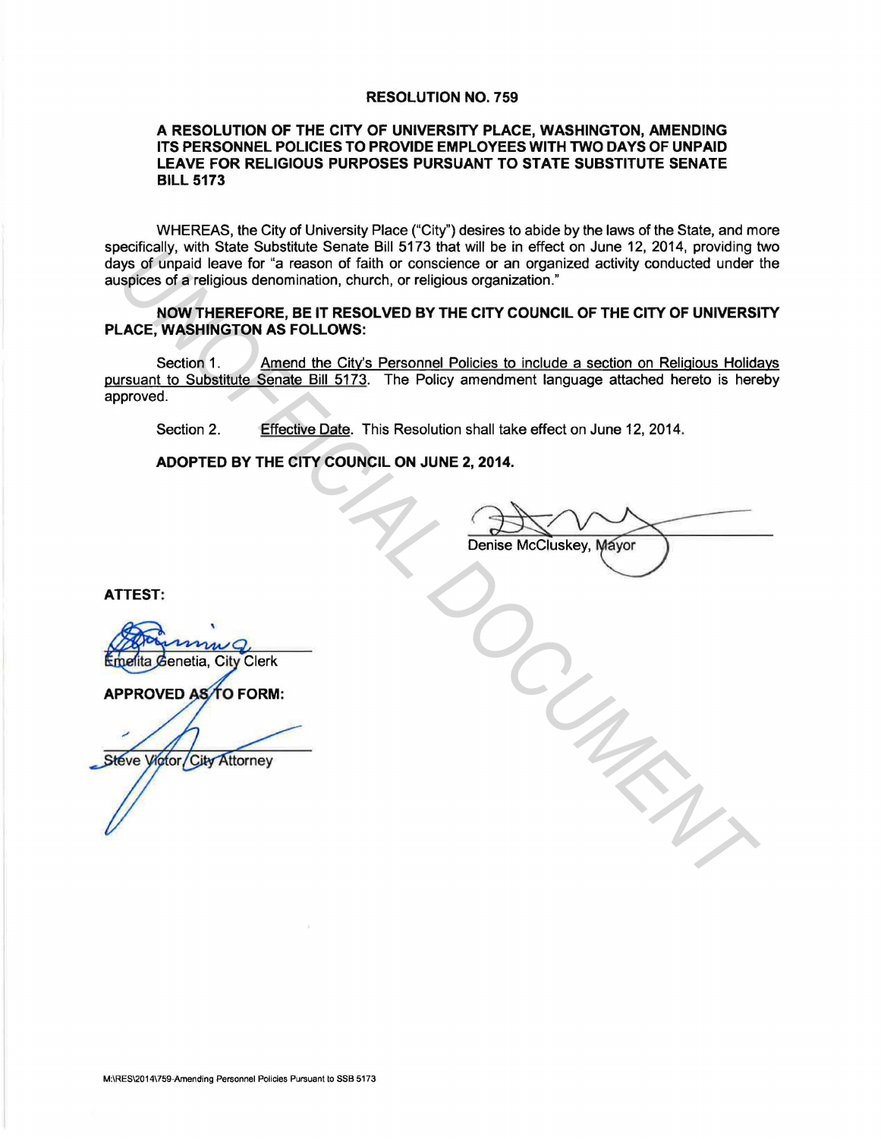# RESOLUTION NO. 759

### A RESOLUTION OF THE CITY OF UNIVERSITY PLACE, WASHINGTON, AMENDING ITS PERSONNEL POLICIES TO PROVIDE EMPLOYEES WITH TWO DAYS OF UNPAID LEAVE FOR RELIGIOUS PURPOSES PURSUANT TO STATE SUBSTITUTE SENATE BILL 5173

WHEREAS, the City of University Place ("City") desires to abide by the laws of the State, and more specifically, with State Substitute Senate Bill 5173 that will be in effect on June 12, 2014, providing two days of unpaid leave for "a reason of faith or conscience or an organized activity conducted under the auspices of a religious denomination, church, or religious organization."

# NOW THEREFORE, BE IT RESOLVED BY THE CITY COUNCIL OF THE CITY OF UNIVERSITY PLACE, WASHINGTON AS FOLLOWS:

Section 1. Amend the City's Personnel Policies to include a section on Religious Holidays pursuant to Substitute Senate Bill 5173. The Policy amendment language attached hereto is hereby approved. **UNITED THE CITY COUNCIL ON THE CITY COUNCIL**<br>
Sys of Unpaid leave for <sup>5</sup>a reason of failh or conscience or an organized activity conducted under<br>
spices of areligious senoniation, church, or religious organization."<br>
ACE

Section 2. Effective Date. This Resolution shall take effect on June 12, 2014.

ADOPTED BY THE CITY COUNCIL ON JUNE 2, 2014.

ATTEST: